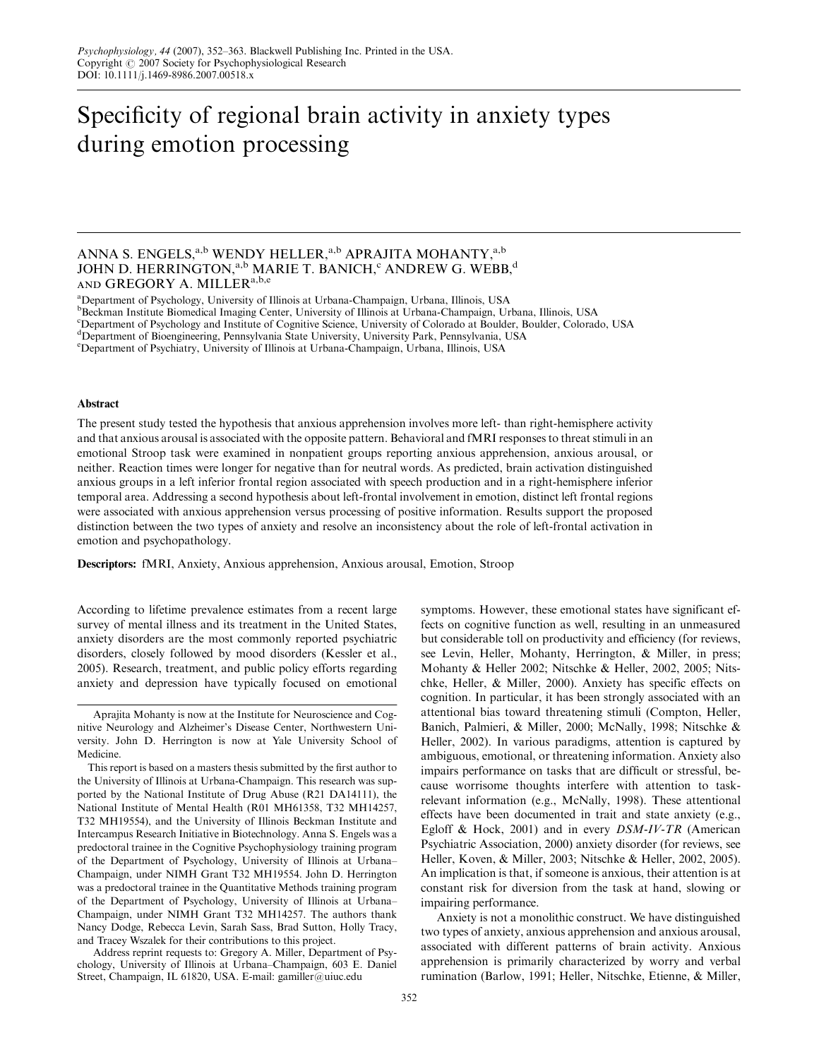# Specificity of regional brain activity in anxiety types during emotion processing

# ANNA S. ENGELS,<sup>a,b</sup> WENDY HELLER,<sup>a,b</sup> APRAJITA MOHANTY,<sup>a,b</sup> JOHN D. HERRINGTON, $^{\mathrm{a,b}}$  MARIE T. BANICH, $^{\mathrm{c}}$  ANDREW G. WEBB, $^{\mathrm{d}}$ AND GREGORY A. MILLER<sup>a,b,e</sup>

a Department of Psychology, University of Illinois at Urbana-Champaign, Urbana, Illinois, USA

b Beckman Institute Biomedical Imaging Center, University of Illinois at Urbana-Champaign, Urbana, Illinois, USA

c Department of Psychology and Institute of Cognitive Science, University of Colorado at Boulder, Boulder, Colorado, USA

d Department of Bioengineering, Pennsylvania State University, University Park, Pennsylvania, USA

e Department of Psychiatry, University of Illinois at Urbana-Champaign, Urbana, Illinois, USA

#### Abstract

The present study tested the hypothesis that anxious apprehension involves more left- than right-hemisphere activity and that anxious arousal is associated with the opposite pattern. Behavioral and fMRI responses to threat stimuli in an emotional Stroop task were examined in nonpatient groups reporting anxious apprehension, anxious arousal, or neither. Reaction times were longer for negative than for neutral words. As predicted, brain activation distinguished anxious groups in a left inferior frontal region associated with speech production and in a right-hemisphere inferior temporal area. Addressing a second hypothesis about left-frontal involvement in emotion, distinct left frontal regions were associated with anxious apprehension versus processing of positive information. Results support the proposed distinction between the two types of anxiety and resolve an inconsistency about the role of left-frontal activation in emotion and psychopathology.

Descriptors: fMRI, Anxiety, Anxious apprehension, Anxious arousal, Emotion, Stroop

According to lifetime prevalence estimates from a recent large survey of mental illness and its treatment in the United States, anxiety disorders are the most commonly reported psychiatric disorders, closely followed by mood disorders (Kessler et al., 2005). Research, treatment, and public policy efforts regarding anxiety and depression have typically focused on emotional

Aprajita Mohanty is now at the Institute for Neuroscience and Cognitive Neurology and Alzheimer's Disease Center, Northwestern University. John D. Herrington is now at Yale University School of Medicine.

This report is based on a masters thesis submitted by the first author to the University of Illinois at Urbana-Champaign. This research was supported by the National Institute of Drug Abuse (R21 DA14111), the National Institute of Mental Health (R01 MH61358, T32 MH14257, T32 MH19554), and the University of Illinois Beckman Institute and Intercampus Research Initiative in Biotechnology. Anna S. Engels was a predoctoral trainee in the Cognitive Psychophysiology training program of the Department of Psychology, University of Illinois at Urbana– Champaign, under NIMH Grant T32 MH19554. John D. Herrington was a predoctoral trainee in the Quantitative Methods training program of the Department of Psychology, University of Illinois at Urbana– Champaign, under NIMH Grant T32 MH14257. The authors thank Nancy Dodge, Rebecca Levin, Sarah Sass, Brad Sutton, Holly Tracy, and Tracey Wszalek for their contributions to this project.

Address reprint requests to: Gregory A. Miller, Department of Psychology, University of Illinois at Urbana–Champaign, 603 E. Daniel Street, Champaign, IL 61820, USA. E-mail: gamiller@uiuc.edu

symptoms. However, these emotional states have significant effects on cognitive function as well, resulting in an unmeasured but considerable toll on productivity and efficiency (for reviews, see Levin, Heller, Mohanty, Herrington, & Miller, in press; Mohanty & Heller 2002; Nitschke & Heller, 2002, 2005; Nitschke, Heller, & Miller, 2000). Anxiety has specific effects on cognition. In particular, it has been strongly associated with an attentional bias toward threatening stimuli (Compton, Heller, Banich, Palmieri, & Miller, 2000; McNally, 1998; Nitschke & Heller, 2002). In various paradigms, attention is captured by ambiguous, emotional, or threatening information. Anxiety also impairs performance on tasks that are difficult or stressful, because worrisome thoughts interfere with attention to taskrelevant information (e.g., McNally, 1998). These attentional effects have been documented in trait and state anxiety (e.g., Egloff & Hock, 2001) and in every DSM-IV-TR (American Psychiatric Association, 2000) anxiety disorder (for reviews, see Heller, Koven, & Miller, 2003; Nitschke & Heller, 2002, 2005). An implication is that, if someone is anxious, their attention is at constant risk for diversion from the task at hand, slowing or impairing performance.

Anxiety is not a monolithic construct. We have distinguished two types of anxiety, anxious apprehension and anxious arousal, associated with different patterns of brain activity. Anxious apprehension is primarily characterized by worry and verbal rumination (Barlow, 1991; Heller, Nitschke, Etienne, & Miller,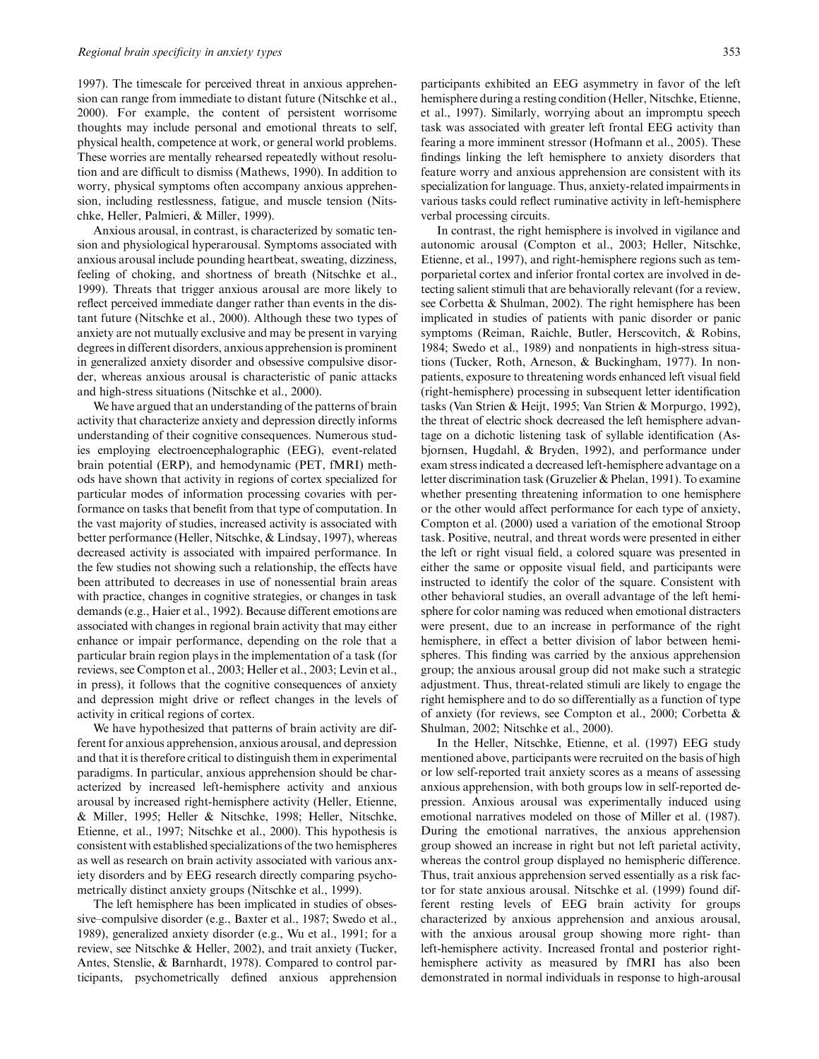1997). The timescale for perceived threat in anxious apprehension can range from immediate to distant future (Nitschke et al., 2000). For example, the content of persistent worrisome thoughts may include personal and emotional threats to self, physical health, competence at work, or general world problems. These worries are mentally rehearsed repeatedly without resolution and are difficult to dismiss (Mathews, 1990). In addition to worry, physical symptoms often accompany anxious apprehension, including restlessness, fatigue, and muscle tension (Nitschke, Heller, Palmieri, & Miller, 1999).

Anxious arousal, in contrast, is characterized by somatic tension and physiological hyperarousal. Symptoms associated with anxious arousal include pounding heartbeat, sweating, dizziness, feeling of choking, and shortness of breath (Nitschke et al., 1999). Threats that trigger anxious arousal are more likely to reflect perceived immediate danger rather than events in the distant future (Nitschke et al., 2000). Although these two types of anxiety are not mutually exclusive and may be present in varying degrees in different disorders, anxious apprehension is prominent in generalized anxiety disorder and obsessive compulsive disorder, whereas anxious arousal is characteristic of panic attacks and high-stress situations (Nitschke et al., 2000).

We have argued that an understanding of the patterns of brain activity that characterize anxiety and depression directly informs understanding of their cognitive consequences. Numerous studies employing electroencephalographic (EEG), event-related brain potential (ERP), and hemodynamic (PET, fMRI) methods have shown that activity in regions of cortex specialized for particular modes of information processing covaries with performance on tasks that benefit from that type of computation. In the vast majority of studies, increased activity is associated with better performance (Heller, Nitschke, & Lindsay, 1997), whereas decreased activity is associated with impaired performance. In the few studies not showing such a relationship, the effects have been attributed to decreases in use of nonessential brain areas with practice, changes in cognitive strategies, or changes in task demands (e.g., Haier et al., 1992). Because different emotions are associated with changes in regional brain activity that may either enhance or impair performance, depending on the role that a particular brain region plays in the implementation of a task (for reviews, see Compton et al., 2003; Heller et al., 2003; Levin et al., in press), it follows that the cognitive consequences of anxiety and depression might drive or reflect changes in the levels of activity in critical regions of cortex.

We have hypothesized that patterns of brain activity are different for anxious apprehension, anxious arousal, and depression and that it is therefore critical to distinguish them in experimental paradigms. In particular, anxious apprehension should be characterized by increased left-hemisphere activity and anxious arousal by increased right-hemisphere activity (Heller, Etienne, & Miller, 1995; Heller & Nitschke, 1998; Heller, Nitschke, Etienne, et al., 1997; Nitschke et al., 2000). This hypothesis is consistent with established specializations of the two hemispheres as well as research on brain activity associated with various anxiety disorders and by EEG research directly comparing psychometrically distinct anxiety groups (Nitschke et al., 1999).

The left hemisphere has been implicated in studies of obsessive–compulsive disorder (e.g., Baxter et al., 1987; Swedo et al., 1989), generalized anxiety disorder (e.g., Wu et al., 1991; for a review, see Nitschke & Heller, 2002), and trait anxiety (Tucker, Antes, Stenslie, & Barnhardt, 1978). Compared to control participants, psychometrically defined anxious apprehension participants exhibited an EEG asymmetry in favor of the left hemisphere during a resting condition (Heller, Nitschke, Etienne, et al., 1997). Similarly, worrying about an impromptu speech task was associated with greater left frontal EEG activity than fearing a more imminent stressor (Hofmann et al., 2005). These findings linking the left hemisphere to anxiety disorders that feature worry and anxious apprehension are consistent with its specialization for language. Thus, anxiety-related impairments in various tasks could reflect ruminative activity in left-hemisphere verbal processing circuits.

In contrast, the right hemisphere is involved in vigilance and autonomic arousal (Compton et al., 2003; Heller, Nitschke, Etienne, et al., 1997), and right-hemisphere regions such as temporparietal cortex and inferior frontal cortex are involved in detecting salient stimuli that are behaviorally relevant (for a review, see Corbetta & Shulman, 2002). The right hemisphere has been implicated in studies of patients with panic disorder or panic symptoms (Reiman, Raichle, Butler, Herscovitch, & Robins, 1984; Swedo et al., 1989) and nonpatients in high-stress situations (Tucker, Roth, Arneson, & Buckingham, 1977). In nonpatients, exposure to threatening words enhanced left visual field (right-hemisphere) processing in subsequent letter identification tasks (Van Strien & Heijt, 1995; Van Strien & Morpurgo, 1992), the threat of electric shock decreased the left hemisphere advantage on a dichotic listening task of syllable identification (Asbjornsen, Hugdahl, & Bryden, 1992), and performance under exam stress indicated a decreased left-hemisphere advantage on a letter discrimination task (Gruzelier & Phelan, 1991). To examine whether presenting threatening information to one hemisphere or the other would affect performance for each type of anxiety, Compton et al. (2000) used a variation of the emotional Stroop task. Positive, neutral, and threat words were presented in either the left or right visual field, a colored square was presented in either the same or opposite visual field, and participants were instructed to identify the color of the square. Consistent with other behavioral studies, an overall advantage of the left hemisphere for color naming was reduced when emotional distracters were present, due to an increase in performance of the right hemisphere, in effect a better division of labor between hemispheres. This finding was carried by the anxious apprehension group; the anxious arousal group did not make such a strategic adjustment. Thus, threat-related stimuli are likely to engage the right hemisphere and to do so differentially as a function of type of anxiety (for reviews, see Compton et al., 2000; Corbetta & Shulman, 2002; Nitschke et al., 2000).

In the Heller, Nitschke, Etienne, et al. (1997) EEG study mentioned above, participants were recruited on the basis of high or low self-reported trait anxiety scores as a means of assessing anxious apprehension, with both groups low in self-reported depression. Anxious arousal was experimentally induced using emotional narratives modeled on those of Miller et al. (1987). During the emotional narratives, the anxious apprehension group showed an increase in right but not left parietal activity, whereas the control group displayed no hemispheric difference. Thus, trait anxious apprehension served essentially as a risk factor for state anxious arousal. Nitschke et al. (1999) found different resting levels of EEG brain activity for groups characterized by anxious apprehension and anxious arousal, with the anxious arousal group showing more right- than left-hemisphere activity. Increased frontal and posterior righthemisphere activity as measured by fMRI has also been demonstrated in normal individuals in response to high-arousal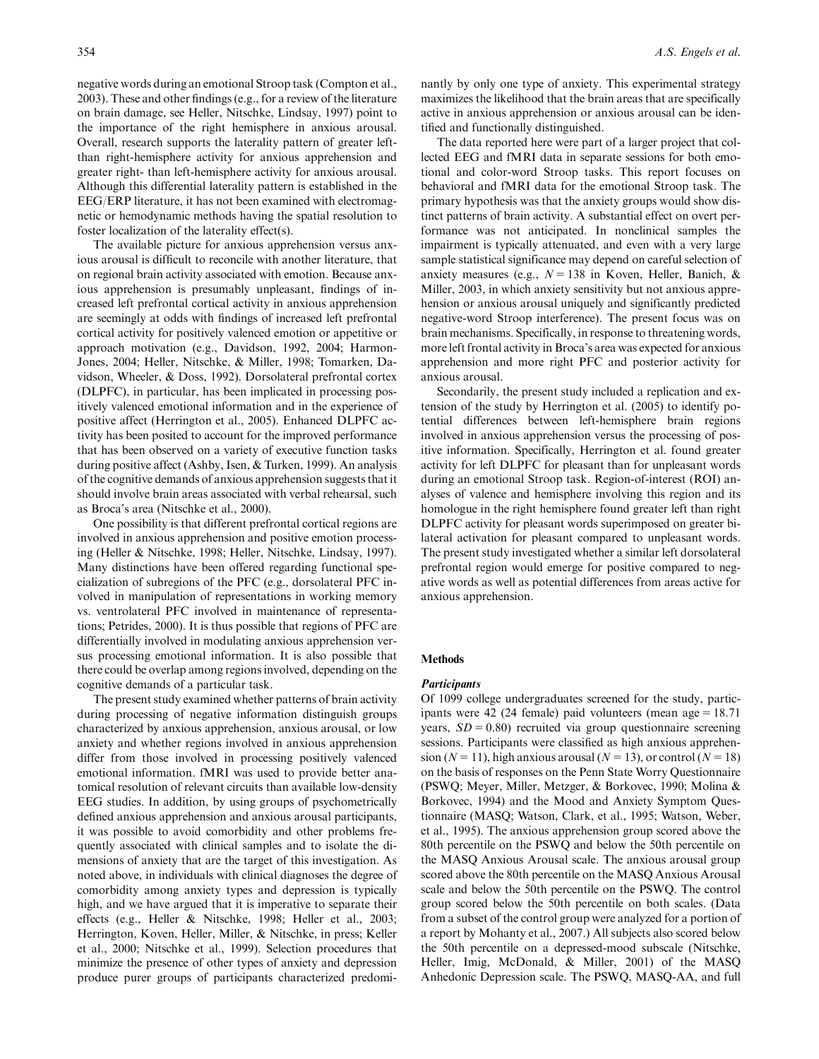negative words during an emotional Stroop task (Compton et al., 2003). These and other findings (e.g., for a review of the literature on brain damage, see Heller, Nitschke, Lindsay, 1997) point to the importance of the right hemisphere in anxious arousal. Overall, research supports the laterality pattern of greater leftthan right-hemisphere activity for anxious apprehension and greater right- than left-hemisphere activity for anxious arousal. Although this differential laterality pattern is established in the EEG/ERP literature, it has not been examined with electromagnetic or hemodynamic methods having the spatial resolution to foster localization of the laterality effect(s).

The available picture for anxious apprehension versus anxious arousal is difficult to reconcile with another literature, that on regional brain activity associated with emotion. Because anxious apprehension is presumably unpleasant, findings of increased left prefrontal cortical activity in anxious apprehension are seemingly at odds with findings of increased left prefrontal cortical activity for positively valenced emotion or appetitive or approach motivation (e.g., Davidson, 1992, 2004; Harmon-Jones, 2004; Heller, Nitschke, & Miller, 1998; Tomarken, Davidson, Wheeler, & Doss, 1992). Dorsolateral prefrontal cortex (DLPFC), in particular, has been implicated in processing positively valenced emotional information and in the experience of positive affect (Herrington et al., 2005). Enhanced DLPFC activity has been posited to account for the improved performance that has been observed on a variety of executive function tasks during positive affect (Ashby, Isen, & Turken, 1999). An analysis of the cognitive demands of anxious apprehension suggests that it should involve brain areas associated with verbal rehearsal, such as Broca's area (Nitschke et al., 2000).

One possibility is that different prefrontal cortical regions are involved in anxious apprehension and positive emotion processing (Heller & Nitschke, 1998; Heller, Nitschke, Lindsay, 1997). Many distinctions have been offered regarding functional specialization of subregions of the PFC (e.g., dorsolateral PFC involved in manipulation of representations in working memory vs. ventrolateral PFC involved in maintenance of representations; Petrides, 2000). It is thus possible that regions of PFC are differentially involved in modulating anxious apprehension versus processing emotional information. It is also possible that there could be overlap among regions involved, depending on the cognitive demands of a particular task.

The present study examined whether patterns of brain activity during processing of negative information distinguish groups characterized by anxious apprehension, anxious arousal, or low anxiety and whether regions involved in anxious apprehension differ from those involved in processing positively valenced emotional information. fMRI was used to provide better anatomical resolution of relevant circuits than available low-density EEG studies. In addition, by using groups of psychometrically defined anxious apprehension and anxious arousal participants, it was possible to avoid comorbidity and other problems frequently associated with clinical samples and to isolate the dimensions of anxiety that are the target of this investigation. As noted above, in individuals with clinical diagnoses the degree of comorbidity among anxiety types and depression is typically high, and we have argued that it is imperative to separate their effects (e.g., Heller & Nitschke, 1998; Heller et al., 2003; Herrington, Koven, Heller, Miller, & Nitschke, in press; Keller et al., 2000; Nitschke et al., 1999). Selection procedures that minimize the presence of other types of anxiety and depression produce purer groups of participants characterized predominantly by only one type of anxiety. This experimental strategy maximizes the likelihood that the brain areas that are specifically active in anxious apprehension or anxious arousal can be identified and functionally distinguished.

The data reported here were part of a larger project that collected EEG and fMRI data in separate sessions for both emotional and color-word Stroop tasks. This report focuses on behavioral and fMRI data for the emotional Stroop task. The primary hypothesis was that the anxiety groups would show distinct patterns of brain activity. A substantial effect on overt performance was not anticipated. In nonclinical samples the impairment is typically attenuated, and even with a very large sample statistical significance may depend on careful selection of anxiety measures (e.g.,  $N = 138$  in Koven, Heller, Banich, & Miller, 2003, in which anxiety sensitivity but not anxious apprehension or anxious arousal uniquely and significantly predicted negative-word Stroop interference). The present focus was on brain mechanisms. Specifically, in response to threatening words, more left frontal activity in Broca's area was expected for anxious apprehension and more right PFC and posterior activity for anxious arousal.

Secondarily, the present study included a replication and extension of the study by Herrington et al. (2005) to identify potential differences between left-hemisphere brain regions involved in anxious apprehension versus the processing of positive information. Specifically, Herrington et al. found greater activity for left DLPFC for pleasant than for unpleasant words during an emotional Stroop task. Region-of-interest (ROI) analyses of valence and hemisphere involving this region and its homologue in the right hemisphere found greater left than right DLPFC activity for pleasant words superimposed on greater bilateral activation for pleasant compared to unpleasant words. The present study investigated whether a similar left dorsolateral prefrontal region would emerge for positive compared to negative words as well as potential differences from areas active for anxious apprehension.

## **Methods**

## **Participants**

Of 1099 college undergraduates screened for the study, participants were 42 (24 female) paid volunteers (mean age  $= 18.71$ years,  $SD = 0.80$ ) recruited via group questionnaire screening sessions. Participants were classified as high anxious apprehension ( $N = 11$ ), high anxious arousal ( $N = 13$ ), or control ( $N = 18$ ) on the basis of responses on the Penn State Worry Questionnaire (PSWQ; Meyer, Miller, Metzger, & Borkovec, 1990; Molina & Borkovec, 1994) and the Mood and Anxiety Symptom Questionnaire (MASQ; Watson, Clark, et al., 1995; Watson, Weber, et al., 1995). The anxious apprehension group scored above the 80th percentile on the PSWQ and below the 50th percentile on the MASQ Anxious Arousal scale. The anxious arousal group scored above the 80th percentile on the MASQ Anxious Arousal scale and below the 50th percentile on the PSWQ. The control group scored below the 50th percentile on both scales. (Data from a subset of the control group were analyzed for a portion of a report by Mohanty et al., 2007.) All subjects also scored below the 50th percentile on a depressed-mood subscale (Nitschke, Heller, Imig, McDonald, & Miller, 2001) of the MASQ Anhedonic Depression scale. The PSWQ, MASQ-AA, and full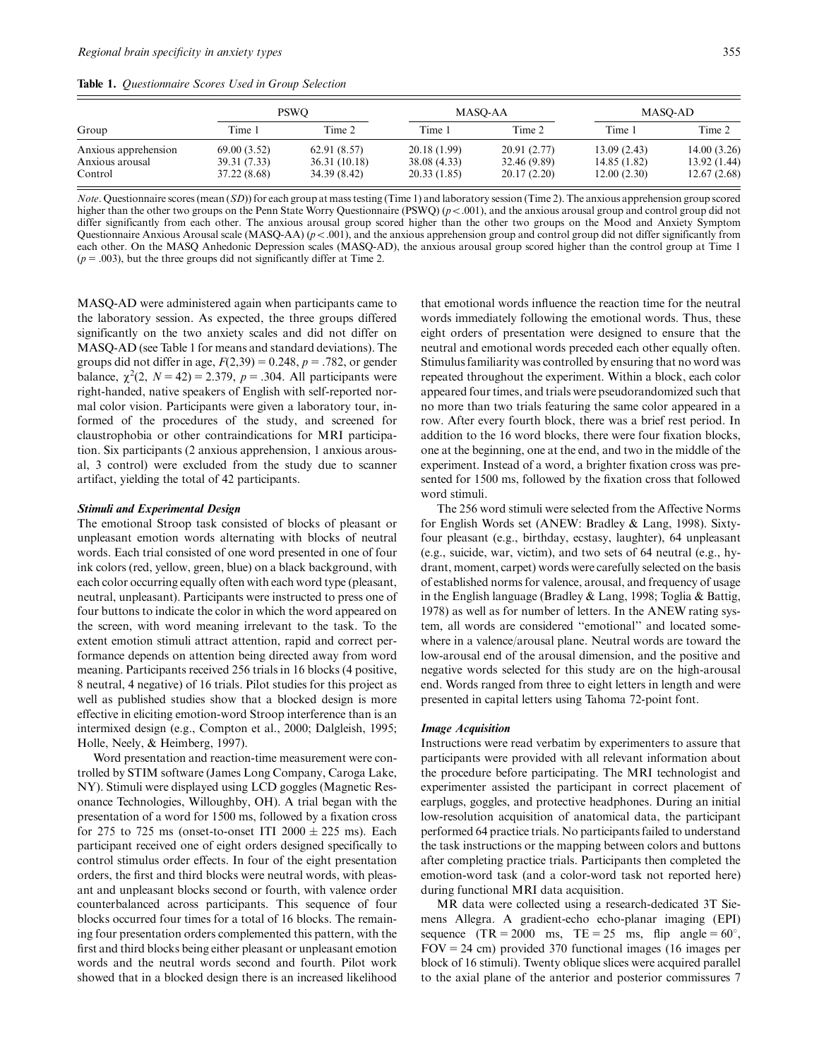|  | Table 1. Questionnaire Scores Used in Group Selection |  |  |  |  |
|--|-------------------------------------------------------|--|--|--|--|
|--|-------------------------------------------------------|--|--|--|--|

| Group                | <b>PSWO</b>  |               |              | MASO-AA      | MASO-AD     |             |
|----------------------|--------------|---------------|--------------|--------------|-------------|-------------|
|                      | Time 1       | Time 2        | Time 1       | Time 2       | Time 1      | Time 2      |
| Anxious apprehension | 69.00(3.52)  | 62.91(8.57)   | 20.18 (1.99) | 20.91 (2.77) | 13.09(2.43) | 14.00(3.26) |
| Anxious arousal      | 39.31 (7.33) | 36.31 (10.18) | 38.08 (4.33) | 32.46 (9.89) | 14.85(1.82) | 13.92(1.44) |
| Control              | 37.22 (8.68) | 34.39 (8.42)  | 20.33(1.85)  | 20.17(2.20)  | 12.00(2.30) | 12.67(2.68) |

Note. Questionnaire scores (mean (SD)) for each group at mass testing (Time 1) and laboratory session (Time 2). The anxious apprehension group scored higher than the other two groups on the Penn State Worry Questionnaire (PSWQ)  $(p < .001)$ , and the anxious arousal group and control group did not differ significantly from each other. The anxious arousal group scored higher than the other two groups on the Mood and Anxiety Symptom Questionnaire Anxious Arousal scale (MASQ-AA) ( $p < .001$ ), and the anxious apprehension group and control group did not differ significantly from each other. On the MASQ Anhedonic Depression scales (MASQ-AD), the anxious arousal group scored higher than the control group at Time 1  $(p = .003)$ , but the three groups did not significantly differ at Time 2.

MASQ-AD were administered again when participants came to the laboratory session. As expected, the three groups differed significantly on the two anxiety scales and did not differ on MASQ-AD (see Table 1 for means and standard deviations). The groups did not differ in age,  $F(2,39) = 0.248$ ,  $p = .782$ , or gender balance,  $\chi^2(2, N = 42) = 2.379$ ,  $p = .304$ . All participants were right-handed, native speakers of English with self-reported normal color vision. Participants were given a laboratory tour, informed of the procedures of the study, and screened for claustrophobia or other contraindications for MRI participation. Six participants (2 anxious apprehension, 1 anxious arousal, 3 control) were excluded from the study due to scanner artifact, yielding the total of 42 participants.

## Stimuli and Experimental Design

The emotional Stroop task consisted of blocks of pleasant or unpleasant emotion words alternating with blocks of neutral words. Each trial consisted of one word presented in one of four ink colors (red, yellow, green, blue) on a black background, with each color occurring equally often with each word type (pleasant, neutral, unpleasant). Participants were instructed to press one of four buttons to indicate the color in which the word appeared on the screen, with word meaning irrelevant to the task. To the extent emotion stimuli attract attention, rapid and correct performance depends on attention being directed away from word meaning. Participants received 256 trials in 16 blocks (4 positive, 8 neutral, 4 negative) of 16 trials. Pilot studies for this project as well as published studies show that a blocked design is more effective in eliciting emotion-word Stroop interference than is an intermixed design (e.g., Compton et al., 2000; Dalgleish, 1995; Holle, Neely, & Heimberg, 1997).

Word presentation and reaction-time measurement were controlled by STIM software (James Long Company, Caroga Lake, NY). Stimuli were displayed using LCD goggles (Magnetic Resonance Technologies, Willoughby, OH). A trial began with the presentation of a word for 1500 ms, followed by a fixation cross for 275 to 725 ms (onset-to-onset ITI 2000  $\pm$  225 ms). Each participant received one of eight orders designed specifically to control stimulus order effects. In four of the eight presentation orders, the first and third blocks were neutral words, with pleasant and unpleasant blocks second or fourth, with valence order counterbalanced across participants. This sequence of four blocks occurred four times for a total of 16 blocks. The remaining four presentation orders complemented this pattern, with the first and third blocks being either pleasant or unpleasant emotion words and the neutral words second and fourth. Pilot work showed that in a blocked design there is an increased likelihood that emotional words influence the reaction time for the neutral words immediately following the emotional words. Thus, these eight orders of presentation were designed to ensure that the neutral and emotional words preceded each other equally often. Stimulus familiarity was controlled by ensuring that no word was repeated throughout the experiment. Within a block, each color appeared four times, and trials were pseudorandomized such that no more than two trials featuring the same color appeared in a row. After every fourth block, there was a brief rest period. In addition to the 16 word blocks, there were four fixation blocks, one at the beginning, one at the end, and two in the middle of the experiment. Instead of a word, a brighter fixation cross was presented for 1500 ms, followed by the fixation cross that followed word stimuli.

The 256 word stimuli were selected from the Affective Norms for English Words set (ANEW: Bradley & Lang, 1998). Sixtyfour pleasant (e.g., birthday, ecstasy, laughter), 64 unpleasant (e.g., suicide, war, victim), and two sets of 64 neutral (e.g., hydrant, moment, carpet) words were carefully selected on the basis of established norms for valence, arousal, and frequency of usage in the English language (Bradley & Lang, 1998; Toglia & Battig, 1978) as well as for number of letters. In the ANEW rating system, all words are considered ''emotional'' and located somewhere in a valence/arousal plane. Neutral words are toward the low-arousal end of the arousal dimension, and the positive and negative words selected for this study are on the high-arousal end. Words ranged from three to eight letters in length and were presented in capital letters using Tahoma 72-point font.

#### Image Acquisition

Instructions were read verbatim by experimenters to assure that participants were provided with all relevant information about the procedure before participating. The MRI technologist and experimenter assisted the participant in correct placement of earplugs, goggles, and protective headphones. During an initial low-resolution acquisition of anatomical data, the participant performed 64 practice trials. No participants failed to understand the task instructions or the mapping between colors and buttons after completing practice trials. Participants then completed the emotion-word task (and a color-word task not reported here) during functional MRI data acquisition.

MR data were collected using a research-dedicated 3T Siemens Allegra. A gradient-echo echo-planar imaging (EPI) sequence  $TR = 2000$  ms,  $TE = 25$  ms, flip angle  $= 60^{\circ}$ ,  $FOV = 24$  cm) provided 370 functional images (16 images per block of 16 stimuli). Twenty oblique slices were acquired parallel to the axial plane of the anterior and posterior commissures 7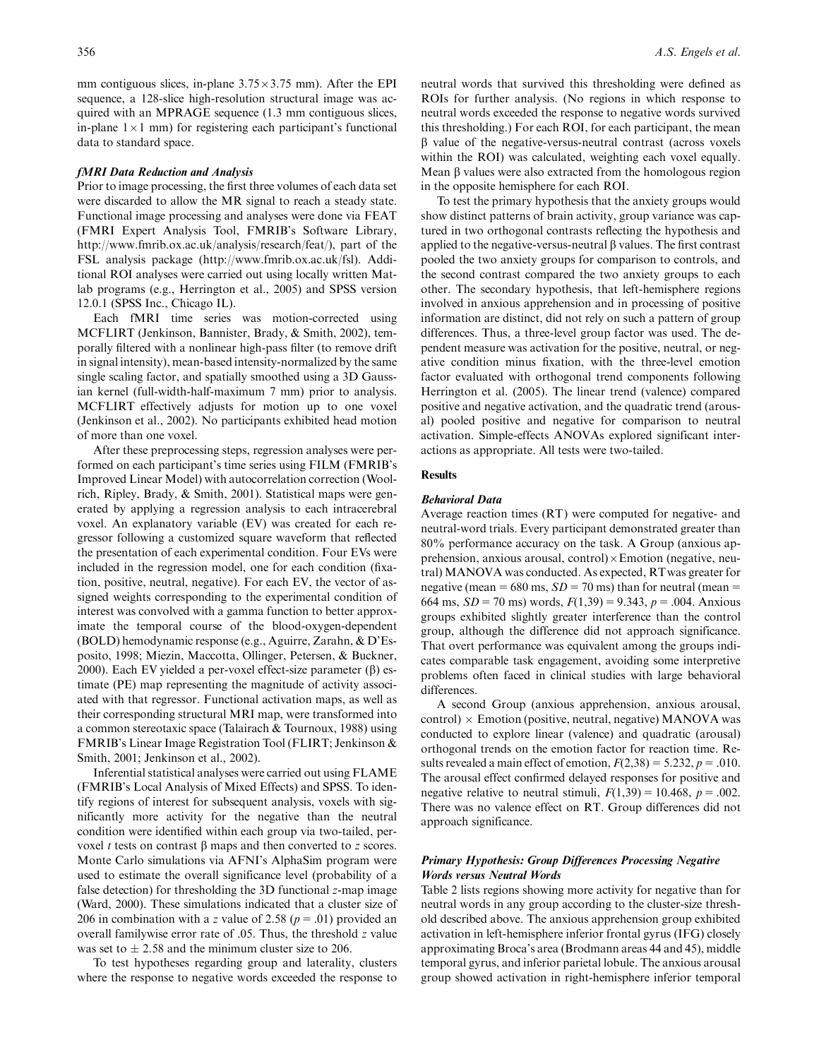mm contiguous slices, in-plane  $3.75 \times 3.75$  mm). After the EPI sequence, a 128-slice high-resolution structural image was acquired with an MPRAGE sequence (1.3 mm contiguous slices, in-plane  $1 \times 1$  mm) for registering each participant's functional data to standard space.

#### fMRI Data Reduction and Analysis

Prior to image processing, the first three volumes of each data set were discarded to allow the MR signal to reach a steady state. Functional image processing and analyses were done via FEAT (FMRI Expert Analysis Tool, FMRIB's Software Library, http://www.fmrib.ox.ac.uk/analysis/research/feat/), part of the FSL analysis package (http://www.fmrib.ox.ac.uk/fsl). Additional ROI analyses were carried out using locally written Matlab programs (e.g., Herrington et al., 2005) and SPSS version 12.0.1 (SPSS Inc., Chicago IL).

Each fMRI time series was motion-corrected using MCFLIRT (Jenkinson, Bannister, Brady, & Smith, 2002), temporally filtered with a nonlinear high-pass filter (to remove drift in signal intensity), mean-based intensity-normalized by the same single scaling factor, and spatially smoothed using a 3D Gaussian kernel (full-width-half-maximum 7 mm) prior to analysis. MCFLIRT effectively adjusts for motion up to one voxel (Jenkinson et al., 2002). No participants exhibited head motion of more than one voxel.

After these preprocessing steps, regression analyses were performed on each participant's time series using FILM (FMRIB's Improved Linear Model) with autocorrelation correction (Woolrich, Ripley, Brady, & Smith, 2001). Statistical maps were generated by applying a regression analysis to each intracerebral voxel. An explanatory variable (EV) was created for each regressor following a customized square waveform that reflected the presentation of each experimental condition. Four EVs were included in the regression model, one for each condition (fixation, positive, neutral, negative). For each EV, the vector of assigned weights corresponding to the experimental condition of interest was convolved with a gamma function to better approximate the temporal course of the blood-oxygen-dependent (BOLD) hemodynamic response (e.g., Aguirre, Zarahn, & D'Esposito, 1998; Miezin, Maccotta, Ollinger, Petersen, & Buckner, 2000). Each EV yielded a per-voxel effect-size parameter  $(\beta)$  estimate (PE) map representing the magnitude of activity associated with that regressor. Functional activation maps, as well as their corresponding structural MRI map, were transformed into a common stereotaxic space (Talairach & Tournoux, 1988) using FMRIB's Linear Image Registration Tool (FLIRT; Jenkinson & Smith, 2001; Jenkinson et al., 2002).

Inferential statistical analyses were carried out using FLAME (FMRIB's Local Analysis of Mixed Effects) and SPSS. To identify regions of interest for subsequent analysis, voxels with significantly more activity for the negative than the neutral condition were identified within each group via two-tailed, pervoxel  $t$  tests on contrast  $\beta$  maps and then converted to  $z$  scores. Monte Carlo simulations via AFNI's AlphaSim program were used to estimate the overall significance level (probability of a false detection) for thresholding the  $3D$  functional  $z$ -map image (Ward, 2000). These simulations indicated that a cluster size of 206 in combination with a z value of 2.58 ( $p = .01$ ) provided an overall familywise error rate of .05. Thus, the threshold z value was set to  $\pm$  2.58 and the minimum cluster size to 206.

To test hypotheses regarding group and laterality, clusters where the response to negative words exceeded the response to neutral words that survived this thresholding were defined as ROIs for further analysis. (No regions in which response to neutral words exceeded the response to negative words survived this thresholding.) For each ROI, for each participant, the mean  $\beta$  value of the negative-versus-neutral contrast (across voxels within the ROI) was calculated, weighting each voxel equally. Mean  $\beta$  values were also extracted from the homologous region in the opposite hemisphere for each ROI.

To test the primary hypothesis that the anxiety groups would show distinct patterns of brain activity, group variance was captured in two orthogonal contrasts reflecting the hypothesis and applied to the negative-versus-neutral  $\beta$  values. The first contrast pooled the two anxiety groups for comparison to controls, and the second contrast compared the two anxiety groups to each other. The secondary hypothesis, that left-hemisphere regions involved in anxious apprehension and in processing of positive information are distinct, did not rely on such a pattern of group differences. Thus, a three-level group factor was used. The dependent measure was activation for the positive, neutral, or negative condition minus fixation, with the three-level emotion factor evaluated with orthogonal trend components following Herrington et al. (2005). The linear trend (valence) compared positive and negative activation, and the quadratic trend (arousal) pooled positive and negative for comparison to neutral activation. Simple-effects ANOVAs explored significant interactions as appropriate. All tests were two-tailed.

#### Results

#### Behavioral Data

Average reaction times (RT) were computed for negative- and neutral-word trials. Every participant demonstrated greater than 80% performance accuracy on the task. A Group (anxious apprehension, anxious arousal, control) × Emotion (negative, neutral) MANOVA was conducted. As expected, RTwas greater for negative (mean =  $680 \text{ ms}$ ,  $SD = 70 \text{ ms}$ ) than for neutral (mean = 664 ms,  $SD = 70$  ms) words,  $F(1,39) = 9.343$ ,  $p = .004$ . Anxious groups exhibited slightly greater interference than the control group, although the difference did not approach significance. That overt performance was equivalent among the groups indicates comparable task engagement, avoiding some interpretive problems often faced in clinical studies with large behavioral differences.

A second Group (anxious apprehension, anxious arousal,  $control \times$  Emotion (positive, neutral, negative) MANOVA was conducted to explore linear (valence) and quadratic (arousal) orthogonal trends on the emotion factor for reaction time. Results revealed a main effect of emotion,  $F(2,38) = 5.232$ ,  $p = .010$ . The arousal effect confirmed delayed responses for positive and negative relative to neutral stimuli,  $F(1,39) = 10.468$ ,  $p = .002$ . There was no valence effect on RT. Group differences did not approach significance.

## Primary Hypothesis: Group Differences Processing Negative Words versus Neutral Words

Table 2 lists regions showing more activity for negative than for neutral words in any group according to the cluster-size threshold described above. The anxious apprehension group exhibited activation in left-hemisphere inferior frontal gyrus (IFG) closely approximating Broca's area (Brodmann areas 44 and 45), middle temporal gyrus, and inferior parietal lobule. The anxious arousal group showed activation in right-hemisphere inferior temporal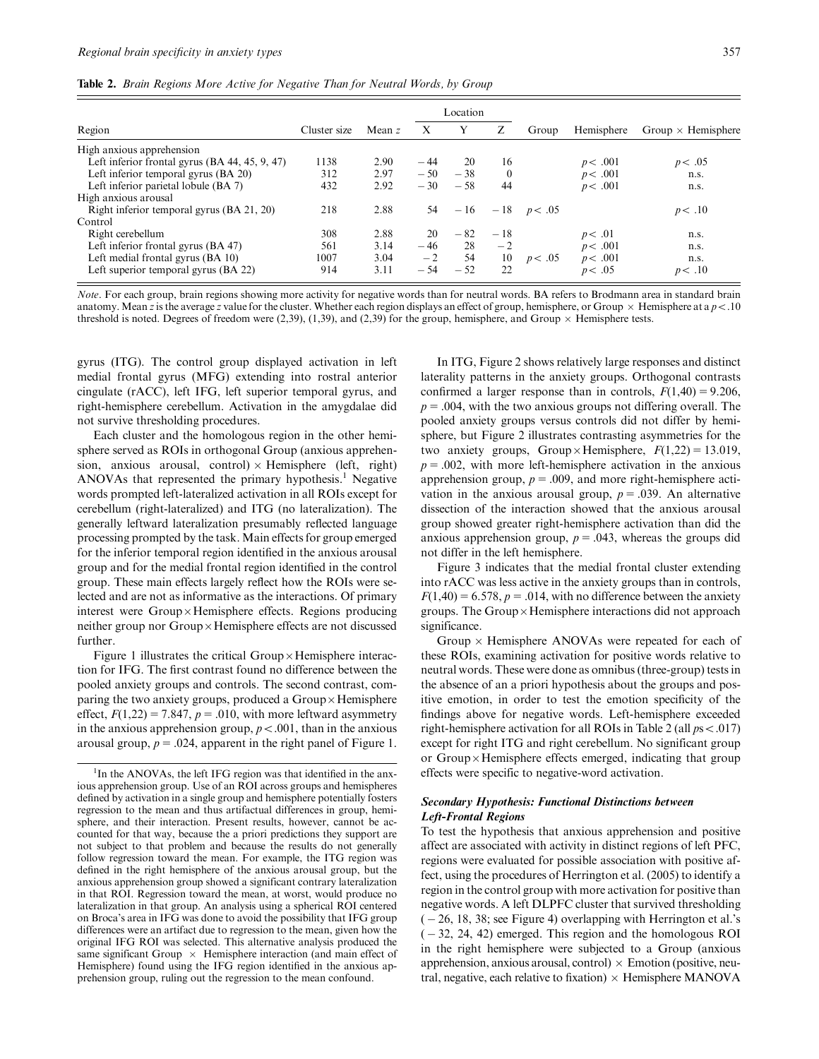Table 2. Brain Regions More Active for Negative Than for Neutral Words, by Group

|                                                  | Location     |          |       |       |          |         |            |                           |
|--------------------------------------------------|--------------|----------|-------|-------|----------|---------|------------|---------------------------|
| Region                                           | Cluster size | Mean $z$ | Х     | Y     | Ζ        | Group   | Hemisphere | Group $\times$ Hemisphere |
| High anxious apprehension                        |              |          |       |       |          |         |            |                           |
| Left inferior frontal gyrus $(BA 44, 45, 9, 47)$ | 1138         | 2.90     | $-44$ | 20    | 16       |         | p < .001   | p < .05                   |
| Left inferior temporal gyrus (BA 20)             | 312          | 2.97     | $-50$ | $-38$ | $\theta$ |         | p < .001   | n.s.                      |
| Left inferior parietal lobule (BA 7)             | 432          | 2.92     | $-30$ | $-58$ | 44       |         | p < .001   | n.s.                      |
| High anxious arousal                             |              |          |       |       |          |         |            |                           |
| Right inferior temporal gyrus (BA 21, 20)        | 218          | 2.88     | 54    | $-16$ | $-18$    | p<.05   |            | p<.10                     |
| Control                                          |              |          |       |       |          |         |            |                           |
| Right cerebellum                                 | 308          | 2.88     | 20    | $-82$ | $-18$    |         | p<.01      | n.s.                      |
| Left inferior frontal gyrus (BA 47)              | 561          | 3.14     | $-46$ | 28    | $-2$     |         | p<.001     | n.s.                      |
| Left medial frontal gyrus (BA 10)                | 1007         | 3.04     | $-2$  | 54    | 10       | p < .05 | p<.001     | n.s.                      |
| Left superior temporal gyrus (BA 22)             | 914          | 3.11     | $-54$ | $-52$ | 22       |         | p<.05      | p<.10                     |

Note. For each group, brain regions showing more activity for negative words than for neutral words. BA refers to Brodmann area in standard brain anatomy. Mean z is the average z value for the cluster. Whether each region displays an effect of group, hemisphere, or Group  $\times$  Hemisphere at a  $p$  < .10 threshold is noted. Degrees of freedom were  $(2,39)$ ,  $(1,39)$ , and  $(2,39)$  for the group, hemisphere, and Group  $\times$  Hemisphere tests.

gyrus (ITG). The control group displayed activation in left medial frontal gyrus (MFG) extending into rostral anterior cingulate (rACC), left IFG, left superior temporal gyrus, and right-hemisphere cerebellum. Activation in the amygdalae did not survive thresholding procedures.

Each cluster and the homologous region in the other hemisphere served as ROIs in orthogonal Group (anxious apprehension, anxious arousal, control)  $\times$  Hemisphere (left, right) ANOVAs that represented the primary hypothesis.<sup>1</sup> Negative words prompted left-lateralized activation in all ROIs except for cerebellum (right-lateralized) and ITG (no lateralization). The generally leftward lateralization presumably reflected language processing prompted by the task. Main effects for group emerged for the inferior temporal region identified in the anxious arousal group and for the medial frontal region identified in the control group. These main effects largely reflect how the ROIs were selected and are not as informative as the interactions. Of primary interest were Group×Hemisphere effects. Regions producing neither group nor Group-Hemisphere effects are not discussed further.

Figure 1 illustrates the critical  $Group \times$  Hemisphere interaction for IFG. The first contrast found no difference between the pooled anxiety groups and controls. The second contrast, comparing the two anxiety groups, produced a Group×Hemisphere effect,  $F(1,22) = 7.847$ ,  $p = .010$ , with more leftward asymmetry in the anxious apprehension group,  $p < .001$ , than in the anxious arousal group,  $p = .024$ , apparent in the right panel of Figure 1.

In ITG, Figure 2 shows relatively large responses and distinct laterality patterns in the anxiety groups. Orthogonal contrasts confirmed a larger response than in controls,  $F(1,40) = 9.206$ ,  $p = .004$ , with the two anxious groups not differing overall. The pooled anxiety groups versus controls did not differ by hemisphere, but Figure 2 illustrates contrasting asymmetries for the two anxiety groups, Group×Hemisphere,  $F(1,22) = 13.019$ ,  $p = .002$ , with more left-hemisphere activation in the anxious apprehension group,  $p = .009$ , and more right-hemisphere activation in the anxious arousal group,  $p = .039$ . An alternative dissection of the interaction showed that the anxious arousal group showed greater right-hemisphere activation than did the anxious apprehension group,  $p = .043$ , whereas the groups did not differ in the left hemisphere.

Figure 3 indicates that the medial frontal cluster extending into rACC was less active in the anxiety groups than in controls,  $F(1,40) = 6.578$ ,  $p = .014$ , with no difference between the anxiety groups. The Group × Hemisphere interactions did not approach significance.

Group  $\times$  Hemisphere ANOVAs were repeated for each of these ROIs, examining activation for positive words relative to neutral words. These were done as omnibus (three-group) tests in the absence of an a priori hypothesis about the groups and positive emotion, in order to test the emotion specificity of the findings above for negative words. Left-hemisphere exceeded right-hemisphere activation for all ROIs in Table 2 (all  $ps < .017$ ) except for right ITG and right cerebellum. No significant group or Group×Hemisphere effects emerged, indicating that group effects were specific to negative-word activation.

## Secondary Hypothesis: Functional Distinctions between Left-Frontal Regions

To test the hypothesis that anxious apprehension and positive affect are associated with activity in distinct regions of left PFC, regions were evaluated for possible association with positive affect, using the procedures of Herrington et al. (2005) to identify a region in the control group with more activation for positive than negative words. A left DLPFC cluster that survived thresholding  $(-26, 18, 38;$  see Figure 4) overlapping with Herrington et al.'s  $(-32, 24, 42)$  emerged. This region and the homologous ROI in the right hemisphere were subjected to a Group (anxious apprehension, anxious arousal, control)  $\times$  Emotion (positive, neutral, negative, each relative to fixation)  $\times$  Hemisphere MANOVA

<sup>&</sup>lt;sup>1</sup>In the ANOVAs, the left IFG region was that identified in the anxious apprehension group. Use of an ROI across groups and hemispheres defined by activation in a single group and hemisphere potentially fosters regression to the mean and thus artifactual differences in group, hemisphere, and their interaction. Present results, however, cannot be accounted for that way, because the a priori predictions they support are not subject to that problem and because the results do not generally follow regression toward the mean. For example, the ITG region was defined in the right hemisphere of the anxious arousal group, but the anxious apprehension group showed a significant contrary lateralization in that ROI. Regression toward the mean, at worst, would produce no lateralization in that group. An analysis using a spherical ROI centered on Broca's area in IFG was done to avoid the possibility that IFG group differences were an artifact due to regression to the mean, given how the original IFG ROI was selected. This alternative analysis produced the same significant Group  $\times$  Hemisphere interaction (and main effect of Hemisphere) found using the IFG region identified in the anxious apprehension group, ruling out the regression to the mean confound.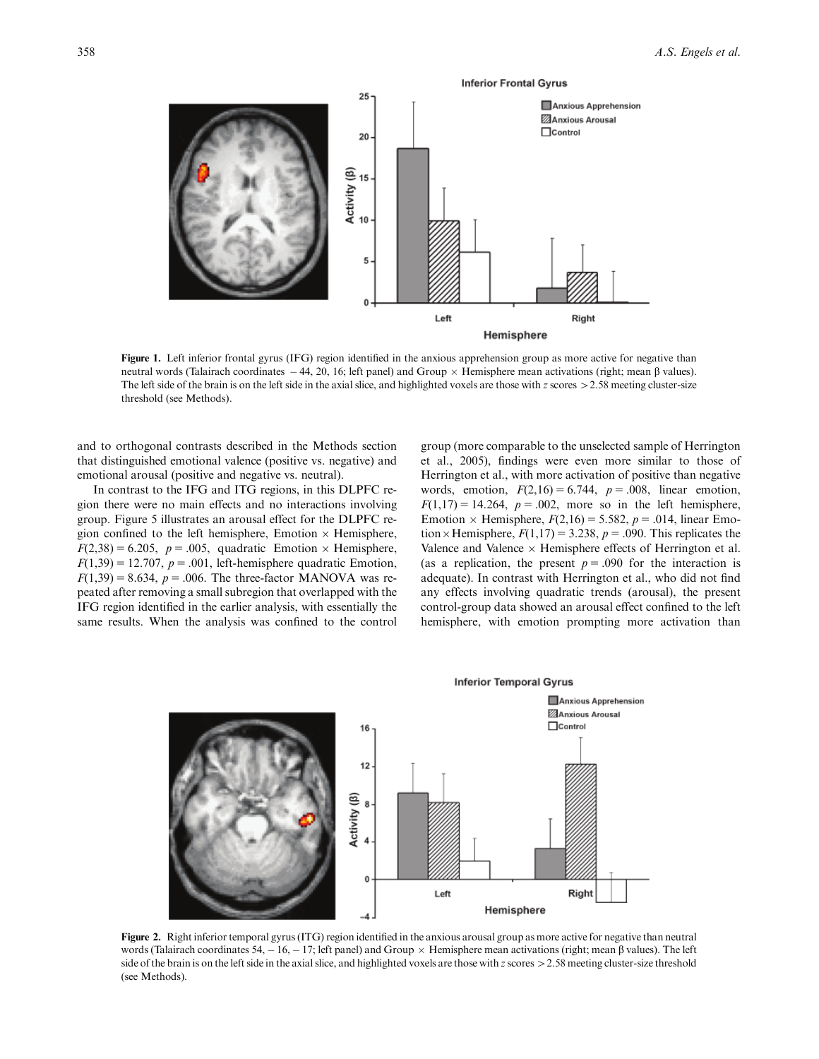

Figure 1. Left inferior frontal gyrus (IFG) region identified in the anxious apprehension group as more active for negative than neutral words (Talairach coordinates  $-44$ , 20, 16; left panel) and Group  $\times$  Hemisphere mean activations (right; mean  $\beta$  values). The left side of the brain is on the left side in the axial slice, and highlighted voxels are those with  $z$  scores  $> 2.58$  meeting cluster-size threshold (see Methods).

and to orthogonal contrasts described in the Methods section that distinguished emotional valence (positive vs. negative) and emotional arousal (positive and negative vs. neutral).

In contrast to the IFG and ITG regions, in this DLPFC region there were no main effects and no interactions involving group. Figure 5 illustrates an arousal effect for the DLPFC region confined to the left hemisphere, Emotion  $\times$  Hemisphere,  $F(2,38) = 6.205$ ,  $p = .005$ , quadratic Emotion  $\times$  Hemisphere,  $F(1,39) = 12.707$ ,  $p = .001$ , left-hemisphere quadratic Emotion,  $F(1,39) = 8.634$ ,  $p = .006$ . The three-factor MANOVA was repeated after removing a small subregion that overlapped with the IFG region identified in the earlier analysis, with essentially the same results. When the analysis was confined to the control group (more comparable to the unselected sample of Herrington et al., 2005), findings were even more similar to those of Herrington et al., with more activation of positive than negative words, emotion,  $F(2,16) = 6.744$ ,  $p = .008$ , linear emotion,  $F(1,17) = 14.264$ ,  $p = .002$ , more so in the left hemisphere, Emotion  $\times$  Hemisphere,  $F(2,16) = 5.582$ ,  $p = .014$ , linear Emotion  $\times$  Hemisphere,  $F(1,17) = 3.238$ ,  $p = .090$ . This replicates the Valence and Valence  $\times$  Hemisphere effects of Herrington et al. (as a replication, the present  $p = .090$  for the interaction is adequate). In contrast with Herrington et al., who did not find any effects involving quadratic trends (arousal), the present control-group data showed an arousal effect confined to the left hemisphere, with emotion prompting more activation than



Figure 2. Right inferior temporal gyrus (ITG) region identified in the anxious arousal group as more active for negative than neutral words (Talairach coordinates 54,  $-16$ ,  $-17$ ; left panel) and Group  $\times$  Hemisphere mean activations (right; mean  $\beta$  values). The left side of the brain is on the left side in the axial slice, and highlighted voxels are those with  $z$  scores  $>$  2.58 meeting cluster-size threshold (see Methods).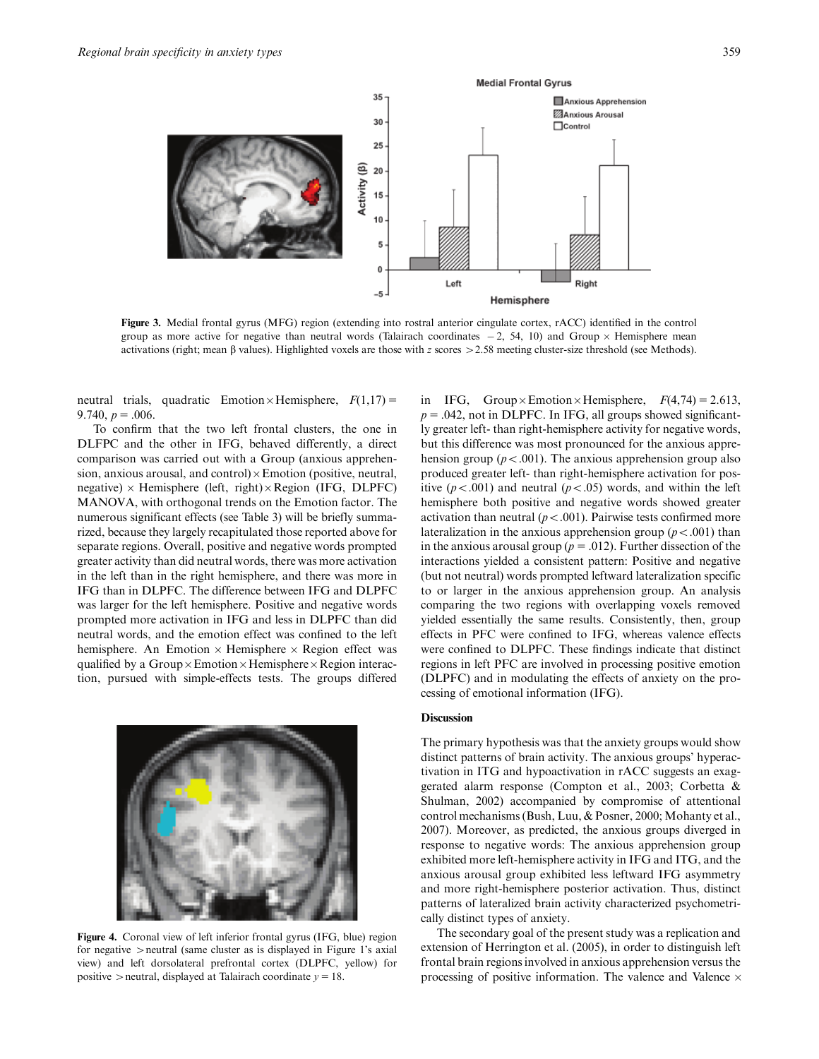

Figure 3. Medial frontal gyrus (MFG) region (extending into rostral anterior cingulate cortex, rACC) identified in the control group as more active for negative than neutral words (Talairach coordinates  $-2$ , 54, 10) and Group  $\times$  Hemisphere mean activations (right; mean  $\beta$  values). Highlighted voxels are those with z scores  $>$  2.58 meeting cluster-size threshold (see Methods).

neutral trials, quadratic Emotion × Hemisphere,  $F(1,17) =$ 9.740,  $p = .006$ .

To confirm that the two left frontal clusters, the one in DLFPC and the other in IFG, behaved differently, a direct comparison was carried out with a Group (anxious apprehension, anxious arousal, and control) $\times$ Emotion (positive, neutral, negative) × Hemisphere (left, right)×Region (IFG, DLPFC) MANOVA, with orthogonal trends on the Emotion factor. The numerous significant effects (see Table 3) will be briefly summarized, because they largely recapitulated those reported above for separate regions. Overall, positive and negative words prompted greater activity than did neutral words, there was more activation in the left than in the right hemisphere, and there was more in IFG than in DLPFC. The difference between IFG and DLPFC was larger for the left hemisphere. Positive and negative words prompted more activation in IFG and less in DLPFC than did neutral words, and the emotion effect was confined to the left hemisphere. An Emotion  $\times$  Hemisphere  $\times$  Region effect was qualified by a  $Group \times Emotion \times Hemisphere \times Region$  interaction, pursued with simple-effects tests. The groups differed



Figure 4. Coronal view of left inferior frontal gyrus (IFG, blue) region for negative  $\ge$  neutral (same cluster as is displayed in Figure 1's axial view) and left dorsolateral prefrontal cortex (DLPFC, yellow) for positive  $\ge$  neutral, displayed at Talairach coordinate  $y = 18$ .

in IFG, Group  $\times$  Emotion  $\times$  Hemisphere,  $F(4,74) = 2.613$ ,  $p = .042$ , not in DLPFC. In IFG, all groups showed significantly greater left- than right-hemisphere activity for negative words, but this difference was most pronounced for the anxious apprehension group ( $p < .001$ ). The anxious apprehension group also produced greater left- than right-hemisphere activation for positive ( $p < .001$ ) and neutral ( $p < .05$ ) words, and within the left hemisphere both positive and negative words showed greater activation than neutral ( $p < .001$ ). Pairwise tests confirmed more lateralization in the anxious apprehension group ( $p < .001$ ) than in the anxious arousal group ( $p = .012$ ). Further dissection of the interactions yielded a consistent pattern: Positive and negative (but not neutral) words prompted leftward lateralization specific to or larger in the anxious apprehension group. An analysis comparing the two regions with overlapping voxels removed yielded essentially the same results. Consistently, then, group effects in PFC were confined to IFG, whereas valence effects were confined to DLPFC. These findings indicate that distinct regions in left PFC are involved in processing positive emotion (DLPFC) and in modulating the effects of anxiety on the processing of emotional information (IFG).

### **Discussion**

The primary hypothesis was that the anxiety groups would show distinct patterns of brain activity. The anxious groups' hyperactivation in ITG and hypoactivation in rACC suggests an exaggerated alarm response (Compton et al., 2003; Corbetta & Shulman, 2002) accompanied by compromise of attentional control mechanisms (Bush, Luu, & Posner, 2000; Mohanty et al., 2007). Moreover, as predicted, the anxious groups diverged in response to negative words: The anxious apprehension group exhibited more left-hemisphere activity in IFG and ITG, and the anxious arousal group exhibited less leftward IFG asymmetry and more right-hemisphere posterior activation. Thus, distinct patterns of lateralized brain activity characterized psychometrically distinct types of anxiety.

The secondary goal of the present study was a replication and extension of Herrington et al. (2005), in order to distinguish left frontal brain regions involved in anxious apprehension versus the processing of positive information. The valence and Valence  $\times$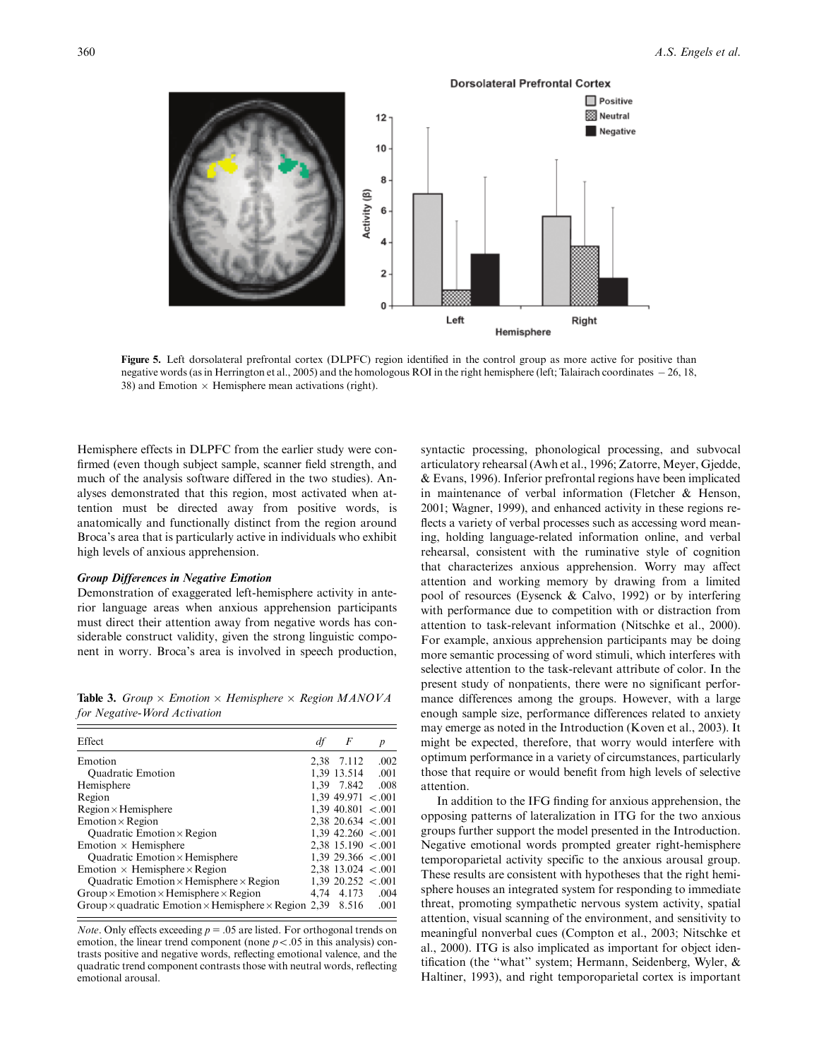

Figure 5. Left dorsolateral prefrontal cortex (DLPFC) region identified in the control group as more active for positive than negative words (as in Herrington et al., 2005) and the homologous ROI in the right hemisphere (left; Talairach coordinates  $-26$ , 18, 38) and Emotion  $\times$  Hemisphere mean activations (right).

Hemisphere effects in DLPFC from the earlier study were confirmed (even though subject sample, scanner field strength, and much of the analysis software differed in the two studies). Analyses demonstrated that this region, most activated when attention must be directed away from positive words, is anatomically and functionally distinct from the region around Broca's area that is particularly active in individuals who exhibit high levels of anxious apprehension.

#### Group Differences in Negative Emotion

Demonstration of exaggerated left-hemisphere activity in anterior language areas when anxious apprehension participants must direct their attention away from negative words has considerable construct validity, given the strong linguistic component in worry. Broca's area is involved in speech production,

**Table 3.** Group  $\times$  Emotion  $\times$  Hemisphere  $\times$  Region MANOVA for Negative-Word Activation

| <b>Effect</b>                                                                   | dt | $\overline{F}$             | p    |
|---------------------------------------------------------------------------------|----|----------------------------|------|
| Emotion                                                                         |    | 2.38 7.112                 | .002 |
| <b>Quadratic Emotion</b>                                                        |    | 1.39 13.514 .001           |      |
| Hemisphere                                                                      |    | 1.39 7.842 .008            |      |
| Region                                                                          |    | $1.39$ 49.971 < 001        |      |
| $Region \times Hemisphere$                                                      |    | $1.39\,40.801\leq 0.001$   |      |
| Emotion $\times$ Region                                                         |    | $2.38\ 20.634\ \leq 0.001$ |      |
| Quadratic Emotion $\times$ Region                                               |    | $1.39\,42.260\leq 0.001$   |      |
| Emotion $\times$ Hemisphere                                                     |    | $2.38$ 15.190 < 001        |      |
| Quadratic Emotion $\times$ Hemisphere                                           |    | $1,39$ 29.366 < 001        |      |
| Emotion $\times$ Hemisphere $\times$ Region                                     |    | $2.38$ 13.024 < 001        |      |
| Quadratic Emotion $\times$ Hemisphere $\times$ Region                           |    | $1.39\ 20.252\ \leq 0.001$ |      |
| $Group \times Emotion \times Hemisphere \times Region$                          |    | 4.74 4.173 .004            |      |
| Group $\times$ quadratic Emotion $\times$ Hemisphere $\times$ Region 2.39 8.516 |    |                            | .001 |

*Note*. Only effects exceeding  $p = .05$  are listed. For orthogonal trends on emotion, the linear trend component (none  $p < .05$  in this analysis) contrasts positive and negative words, reflecting emotional valence, and the quadratic trend component contrasts those with neutral words, reflecting emotional arousal.

syntactic processing, phonological processing, and subvocal articulatory rehearsal (Awh et al., 1996; Zatorre, Meyer, Gjedde, & Evans, 1996). Inferior prefrontal regions have been implicated in maintenance of verbal information (Fletcher & Henson, 2001; Wagner, 1999), and enhanced activity in these regions reflects a variety of verbal processes such as accessing word meaning, holding language-related information online, and verbal rehearsal, consistent with the ruminative style of cognition that characterizes anxious apprehension. Worry may affect attention and working memory by drawing from a limited pool of resources (Eysenck & Calvo, 1992) or by interfering with performance due to competition with or distraction from attention to task-relevant information (Nitschke et al., 2000). For example, anxious apprehension participants may be doing more semantic processing of word stimuli, which interferes with selective attention to the task-relevant attribute of color. In the present study of nonpatients, there were no significant performance differences among the groups. However, with a large enough sample size, performance differences related to anxiety may emerge as noted in the Introduction (Koven et al., 2003). It might be expected, therefore, that worry would interfere with optimum performance in a variety of circumstances, particularly those that require or would benefit from high levels of selective attention.

In addition to the IFG finding for anxious apprehension, the opposing patterns of lateralization in ITG for the two anxious groups further support the model presented in the Introduction. Negative emotional words prompted greater right-hemisphere temporoparietal activity specific to the anxious arousal group. These results are consistent with hypotheses that the right hemisphere houses an integrated system for responding to immediate threat, promoting sympathetic nervous system activity, spatial attention, visual scanning of the environment, and sensitivity to meaningful nonverbal cues (Compton et al., 2003; Nitschke et al., 2000). ITG is also implicated as important for object identification (the ''what'' system; Hermann, Seidenberg, Wyler, & Haltiner, 1993), and right temporoparietal cortex is important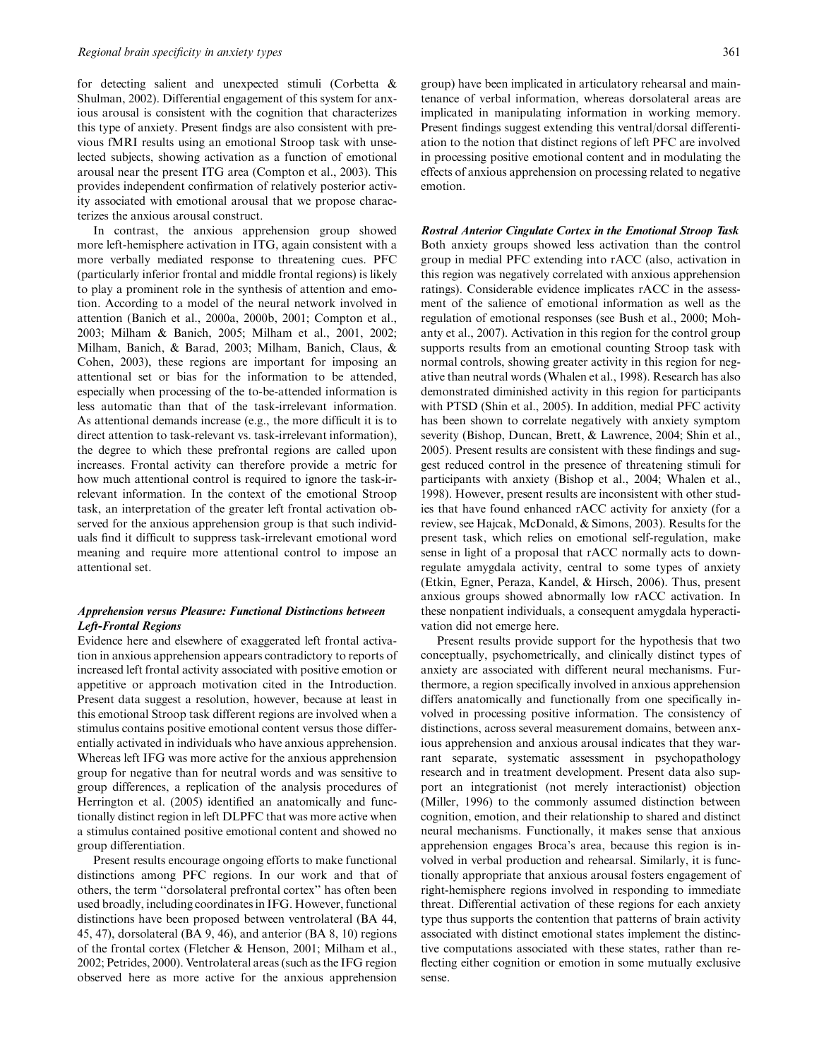for detecting salient and unexpected stimuli (Corbetta & Shulman, 2002). Differential engagement of this system for anxious arousal is consistent with the cognition that characterizes this type of anxiety. Present findgs are also consistent with previous fMRI results using an emotional Stroop task with unselected subjects, showing activation as a function of emotional arousal near the present ITG area (Compton et al., 2003). This provides independent confirmation of relatively posterior activity associated with emotional arousal that we propose characterizes the anxious arousal construct.

In contrast, the anxious apprehension group showed more left-hemisphere activation in ITG, again consistent with a more verbally mediated response to threatening cues. PFC (particularly inferior frontal and middle frontal regions) is likely to play a prominent role in the synthesis of attention and emotion. According to a model of the neural network involved in attention (Banich et al., 2000a, 2000b, 2001; Compton et al., 2003; Milham & Banich, 2005; Milham et al., 2001, 2002; Milham, Banich, & Barad, 2003; Milham, Banich, Claus, & Cohen, 2003), these regions are important for imposing an attentional set or bias for the information to be attended, especially when processing of the to-be-attended information is less automatic than that of the task-irrelevant information. As attentional demands increase (e.g., the more difficult it is to direct attention to task-relevant vs. task-irrelevant information), the degree to which these prefrontal regions are called upon increases. Frontal activity can therefore provide a metric for how much attentional control is required to ignore the task-irrelevant information. In the context of the emotional Stroop task, an interpretation of the greater left frontal activation observed for the anxious apprehension group is that such individuals find it difficult to suppress task-irrelevant emotional word meaning and require more attentional control to impose an attentional set.

## Apprehension versus Pleasure: Functional Distinctions between Left-Frontal Regions

Evidence here and elsewhere of exaggerated left frontal activation in anxious apprehension appears contradictory to reports of increased left frontal activity associated with positive emotion or appetitive or approach motivation cited in the Introduction. Present data suggest a resolution, however, because at least in this emotional Stroop task different regions are involved when a stimulus contains positive emotional content versus those differentially activated in individuals who have anxious apprehension. Whereas left IFG was more active for the anxious apprehension group for negative than for neutral words and was sensitive to group differences, a replication of the analysis procedures of Herrington et al. (2005) identified an anatomically and functionally distinct region in left DLPFC that was more active when a stimulus contained positive emotional content and showed no group differentiation.

Present results encourage ongoing efforts to make functional distinctions among PFC regions. In our work and that of others, the term ''dorsolateral prefrontal cortex'' has often been used broadly, including coordinates in IFG. However, functional distinctions have been proposed between ventrolateral (BA 44, 45, 47), dorsolateral (BA 9, 46), and anterior (BA 8, 10) regions of the frontal cortex (Fletcher & Henson, 2001; Milham et al., 2002; Petrides, 2000). Ventrolateral areas (such as the IFG region observed here as more active for the anxious apprehension group) have been implicated in articulatory rehearsal and maintenance of verbal information, whereas dorsolateral areas are implicated in manipulating information in working memory. Present findings suggest extending this ventral/dorsal differentiation to the notion that distinct regions of left PFC are involved in processing positive emotional content and in modulating the effects of anxious apprehension on processing related to negative emotion.

Rostral Anterior Cingulate Cortex in the Emotional Stroop Task Both anxiety groups showed less activation than the control group in medial PFC extending into rACC (also, activation in this region was negatively correlated with anxious apprehension ratings). Considerable evidence implicates rACC in the assessment of the salience of emotional information as well as the regulation of emotional responses (see Bush et al., 2000; Mohanty et al., 2007). Activation in this region for the control group supports results from an emotional counting Stroop task with normal controls, showing greater activity in this region for negative than neutral words (Whalen et al., 1998). Research has also demonstrated diminished activity in this region for participants with PTSD (Shin et al., 2005). In addition, medial PFC activity has been shown to correlate negatively with anxiety symptom severity (Bishop, Duncan, Brett, & Lawrence, 2004; Shin et al., 2005). Present results are consistent with these findings and suggest reduced control in the presence of threatening stimuli for participants with anxiety (Bishop et al., 2004; Whalen et al., 1998). However, present results are inconsistent with other studies that have found enhanced rACC activity for anxiety (for a review, see Hajcak, McDonald, & Simons, 2003). Results for the present task, which relies on emotional self-regulation, make sense in light of a proposal that rACC normally acts to downregulate amygdala activity, central to some types of anxiety (Etkin, Egner, Peraza, Kandel, & Hirsch, 2006). Thus, present anxious groups showed abnormally low rACC activation. In these nonpatient individuals, a consequent amygdala hyperactivation did not emerge here.

Present results provide support for the hypothesis that two conceptually, psychometrically, and clinically distinct types of anxiety are associated with different neural mechanisms. Furthermore, a region specifically involved in anxious apprehension differs anatomically and functionally from one specifically involved in processing positive information. The consistency of distinctions, across several measurement domains, between anxious apprehension and anxious arousal indicates that they warrant separate, systematic assessment in psychopathology research and in treatment development. Present data also support an integrationist (not merely interactionist) objection (Miller, 1996) to the commonly assumed distinction between cognition, emotion, and their relationship to shared and distinct neural mechanisms. Functionally, it makes sense that anxious apprehension engages Broca's area, because this region is involved in verbal production and rehearsal. Similarly, it is functionally appropriate that anxious arousal fosters engagement of right-hemisphere regions involved in responding to immediate threat. Differential activation of these regions for each anxiety type thus supports the contention that patterns of brain activity associated with distinct emotional states implement the distinctive computations associated with these states, rather than reflecting either cognition or emotion in some mutually exclusive sense.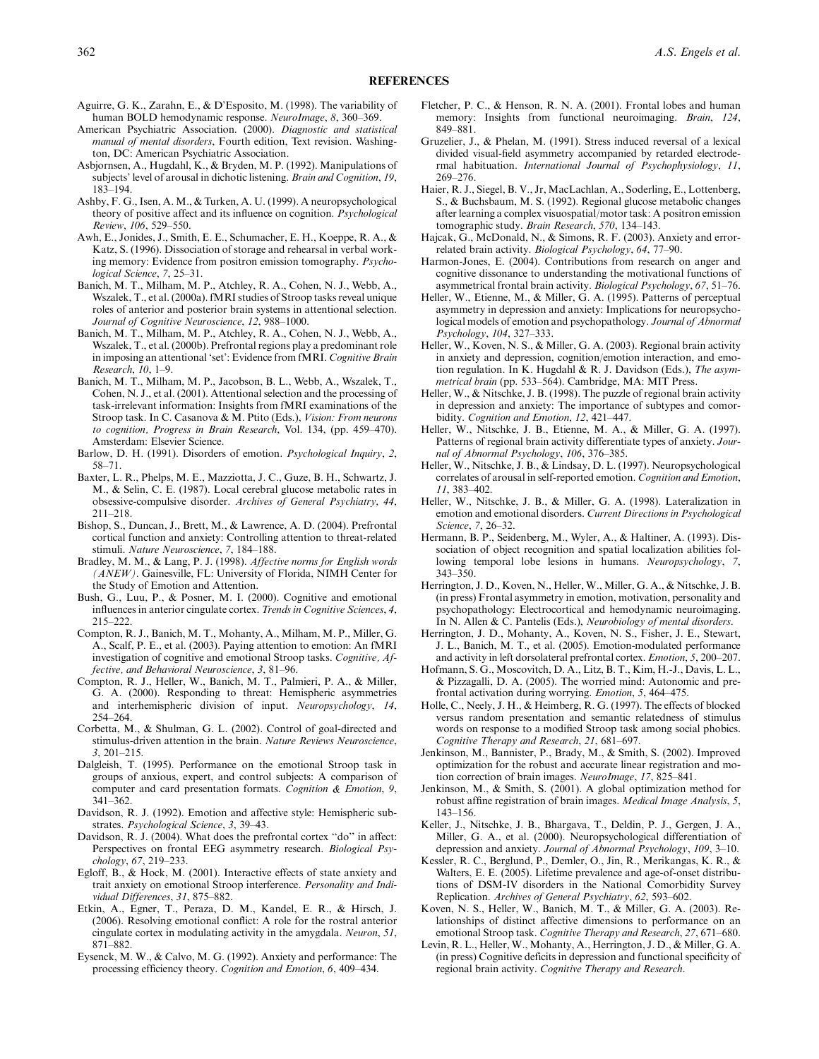- Aguirre, G. K., Zarahn, E., & D'Esposito, M. (1998). The variability of human BOLD hemodynamic response. NeuroImage, 8, 360–369.
- American Psychiatric Association. (2000). Diagnostic and statistical manual of mental disorders. Fourth edition, Text revision, Washington, DC: American Psychiatric Association.
- Asbjornsen, A., Hugdahl, K., & Bryden, M. P. (1992). Manipulations of subjects' level of arousal in dichotic listening. Brain and Cognition, 19, 183–194.
- Ashby, F. G., Isen, A. M., & Turken, A. U. (1999). A neuropsychological theory of positive affect and its influence on cognition. Psychological Review, 106, 529–550.
- Awh, E., Jonides, J., Smith, E. E., Schumacher, E. H., Koeppe, R. A., & Katz, S. (1996). Dissociation of storage and rehearsal in verbal working memory: Evidence from positron emission tomography. Psychological Science, 7, 25–31.
- Banich, M. T., Milham, M. P., Atchley, R. A., Cohen, N. J., Webb, A., Wszalek, T., et al. (2000a). fMRI studies of Stroop tasks reveal unique roles of anterior and posterior brain systems in attentional selection. Journal of Cognitive Neuroscience, 12, 988–1000.
- Banich, M. T., Milham, M. P., Atchley, R. A., Cohen, N. J., Webb, A., Wszalek, T., et al. (2000b). Prefrontal regions play a predominant role in imposing an attentional 'set': Evidence from fMRI. Cognitive Brain Research, 10, 1–9.
- Banich, M. T., Milham, M. P., Jacobson, B. L., Webb, A., Wszalek, T., Cohen, N. J., et al. (2001). Attentional selection and the processing of task-irrelevant information: Insights from fMRI examinations of the Stroop task. In C. Casanova & M. Ptito (Eds.), Vision: From neurons to cognition, Progress in Brain Research, Vol. 134, (pp. 459–470). Amsterdam: Elsevier Science.
- Barlow, D. H. (1991). Disorders of emotion. Psychological Inquiry, 2, 58–71.
- Baxter, L. R., Phelps, M. E., Mazziotta, J. C., Guze, B. H., Schwartz, J. M., & Selin, C. E. (1987). Local cerebral glucose metabolic rates in obsessive-compulsive disorder. Archives of General Psychiatry, 44, 211–218.
- Bishop, S., Duncan, J., Brett, M., & Lawrence, A. D. (2004). Prefrontal cortical function and anxiety: Controlling attention to threat-related stimuli. Nature Neuroscience, 7, 184–188.
- Bradley, M. M., & Lang, P. J. (1998). Affective norms for English words (ANEW). Gainesville, FL: University of Florida, NIMH Center for the Study of Emotion and Attention.
- Bush, G., Luu, P., & Posner, M. I. (2000). Cognitive and emotional influences in anterior cingulate cortex. Trends in Cognitive Sciences, 4, 215–222.
- Compton, R. J., Banich, M. T., Mohanty, A., Milham, M. P., Miller, G. A., Scalf, P. E., et al. (2003). Paying attention to emotion: An fMRI investigation of cognitive and emotional Stroop tasks. Cognitive, Affective, and Behavioral Neuroscience, 3, 81–96.
- Compton, R. J., Heller, W., Banich, M. T., Palmieri, P. A., & Miller, G. A. (2000). Responding to threat: Hemispheric asymmetries and interhemispheric division of input. Neuropsychology, 14, 254–264.
- Corbetta, M., & Shulman, G. L. (2002). Control of goal-directed and stimulus-driven attention in the brain. Nature Reviews Neuroscience, 3, 201–215.
- Dalgleish, T. (1995). Performance on the emotional Stroop task in groups of anxious, expert, and control subjects: A comparison of computer and card presentation formats. Cognition & Emotion, 9, 341–362.
- Davidson, R. J. (1992). Emotion and affective style: Hemispheric substrates. Psychological Science, 3, 39–43.
- Davidson, R. J. (2004). What does the prefrontal cortex "do" in affect: Perspectives on frontal EEG asymmetry research. Biological Psychology, 67, 219–233.
- Egloff, B., & Hock, M. (2001). Interactive effects of state anxiety and trait anxiety on emotional Stroop interference. Personality and Individual Differences, 31, 875–882.
- Etkin, A., Egner, T., Peraza, D. M., Kandel, E. R., & Hirsch, J. (2006). Resolving emotional conflict: A role for the rostral anterior cingulate cortex in modulating activity in the amygdala. Neuron, 51, 871–882.
- Eysenck, M. W., & Calvo, M. G. (1992). Anxiety and performance: The processing efficiency theory. Cognition and Emotion, 6, 409–434.
- Fletcher, P. C., & Henson, R. N. A. (2001). Frontal lobes and human memory: Insights from functional neuroimaging. Brain, 124, 849–881.
- Gruzelier, J., & Phelan, M. (1991). Stress induced reversal of a lexical divided visual-field asymmetry accompanied by retarded electrodermal habituation. International Journal of Psychophysiology, 11, 269–276.
- Haier, R. J., Siegel, B. V., Jr, MacLachlan, A., Soderling, E., Lottenberg, S., & Buchsbaum, M. S. (1992). Regional glucose metabolic changes after learning a complex visuospatial/motor task: A positron emission tomographic study. Brain Research, 570, 134–143.
- Hajcak, G., McDonald, N., & Simons, R. F. (2003). Anxiety and errorrelated brain activity. Biological Psychology, 64, 77–90.
- Harmon-Jones, E. (2004). Contributions from research on anger and cognitive dissonance to understanding the motivational functions of asymmetrical frontal brain activity. Biological Psychology, 67, 51–76.
- Heller, W., Etienne, M., & Miller, G. A. (1995). Patterns of perceptual asymmetry in depression and anxiety: Implications for neuropsychological models of emotion and psychopathology. Journal of Abnormal Psychology, 104, 327–333.
- Heller, W., Koven, N. S., & Miller, G. A. (2003). Regional brain activity in anxiety and depression, cognition/emotion interaction, and emotion regulation. In K. Hugdahl & R. J. Davidson (Eds.), The asymmetrical brain (pp. 533–564). Cambridge, MA: MIT Press.
- Heller, W., & Nitschke, J. B. (1998). The puzzle of regional brain activity in depression and anxiety: The importance of subtypes and comorbidity. Cognition and Emotion, 12, 421–447.
- Heller, W., Nitschke, J. B., Etienne, M. A., & Miller, G. A. (1997). Patterns of regional brain activity differentiate types of anxiety. Journal of Abnormal Psychology, 106, 376–385.
- Heller, W., Nitschke, J. B., & Lindsay, D. L. (1997). Neuropsychological correlates of arousal in self-reported emotion. Cognition and Emotion, 11, 383–402.
- Heller, W., Nitschke, J. B., & Miller, G. A. (1998). Lateralization in emotion and emotional disorders. Current Directions in Psychological Science, 7, 26–32.
- Hermann, B. P., Seidenberg, M., Wyler, A., & Haltiner, A. (1993). Dissociation of object recognition and spatial localization abilities following temporal lobe lesions in humans. Neuropsychology, 7, 343–350.
- Herrington, J. D., Koven, N., Heller, W., Miller, G. A., & Nitschke, J. B. (in press) Frontal asymmetry in emotion, motivation, personality and psychopathology: Electrocortical and hemodynamic neuroimaging. In N. Allen & C. Pantelis (Eds.), Neurobiology of mental disorders.
- Herrington, J. D., Mohanty, A., Koven, N. S., Fisher, J. E., Stewart, J. L., Banich, M. T., et al. (2005). Emotion-modulated performance and activity in left dorsolateral prefrontal cortex. Emotion, 5, 200–207.
- Hofmann, S. G., Moscovitch, D. A., Litz, B. T., Kim, H.-J., Davis, L. L., & Pizzagalli, D. A. (2005). The worried mind: Autonomic and prefrontal activation during worrying. Emotion, 5, 464–475.
- Holle, C., Neely, J. H., & Heimberg, R. G. (1997). The effects of blocked versus random presentation and semantic relatedness of stimulus words on response to a modified Stroop task among social phobics. Cognitive Therapy and Research, 21, 681–697.
- Jenkinson, M., Bannister, P., Brady, M., & Smith, S. (2002). Improved optimization for the robust and accurate linear registration and motion correction of brain images. NeuroImage, 17, 825–841.
- Jenkinson, M., & Smith, S. (2001). A global optimization method for robust affine registration of brain images. Medical Image Analysis, 5, 143–156.
- Keller, J., Nitschke, J. B., Bhargava, T., Deldin, P. J., Gergen, J. A., Miller, G. A., et al. (2000). Neuropsychological differentiation of depression and anxiety. Journal of Abnormal Psychology, 109, 3–10.
- Kessler, R. C., Berglund, P., Demler, O., Jin, R., Merikangas, K. R., & Walters, E. E. (2005). Lifetime prevalence and age-of-onset distributions of DSM-IV disorders in the National Comorbidity Survey Replication. Archives of General Psychiatry, 62, 593–602.
- Koven, N. S., Heller, W., Banich, M. T., & Miller, G. A. (2003). Relationships of distinct affective dimensions to performance on an emotional Stroop task. Cognitive Therapy and Research, 27, 671–680.
- Levin, R. L., Heller, W., Mohanty, A., Herrington, J. D., & Miller, G. A. (in press) Cognitive deficits in depression and functional specificity of regional brain activity. Cognitive Therapy and Research.